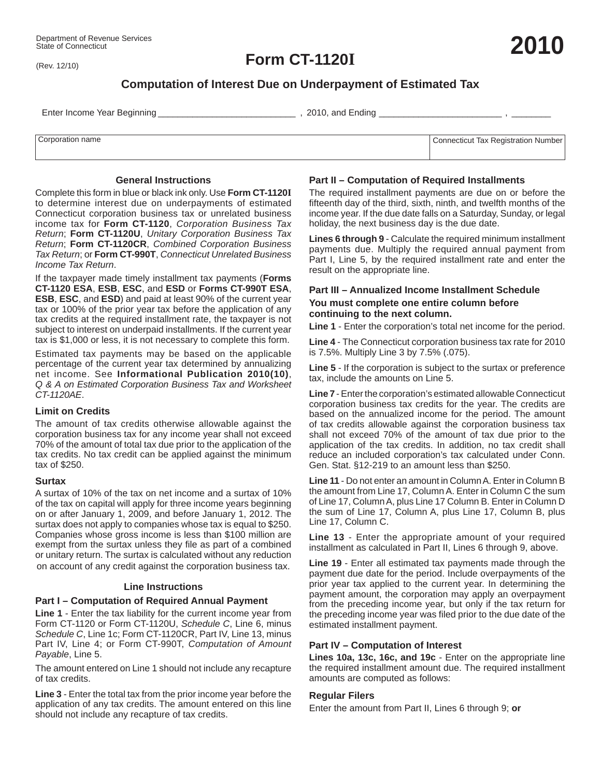(Rev. 12/10)

**Form CT-1120I**

# **Computation of Interest Due on Underpayment of Estimated Tax**

Enter Income Year Beginning \_\_\_\_\_\_\_\_\_\_\_\_\_\_\_\_\_\_\_\_\_\_\_\_\_\_\_\_ , 2010, and Ending \_\_\_\_\_\_\_\_\_\_\_\_\_\_\_\_\_\_\_\_\_\_\_\_\_ , \_\_\_\_\_\_\_\_

| Corporation name | Connecticut Tax Registration Number |
|------------------|-------------------------------------|
|                  |                                     |
|                  |                                     |

### **General Instructions**

Complete this form in blue or black ink only. Use **Form CT-1120I** to determine interest due on underpayments of estimated Connecticut corporation business tax or unrelated business income tax for **Form CT-1120**, *Corporation Business Tax Return*; **Form CT-1120U**, *Unitary Corporation Business Tax Return*; **Form CT-1120CR**, *Combined Corporation Business Tax Return*; or **Form CT-990T**, *Connecticut Unrelated Business Income Tax Return*.

If the taxpayer made timely installment tax payments (**Forms CT-1120 ESA**, **ESB**, **ESC**, and **ESD** or **Forms CT-990T ESA**, **ESB**, **ESC**, and **ESD**) and paid at least 90% of the current year tax or 100% of the prior year tax before the application of any tax credits at the required installment rate, the taxpayer is not subject to interest on underpaid installments. If the current year tax is \$1,000 or less, it is not necessary to complete this form.

Estimated tax payments may be based on the applicable percentage of the current year tax determined by annualizing net income. See **Informational Publication 2010(10)**, *Q & A on Estimated Corporation Business Tax and Worksheet CT-1120AE*.

# **Limit on Credits**

The amount of tax credits otherwise allowable against the corporation business tax for any income year shall not exceed 70% of the amount of total tax due prior to the application of the tax credits. No tax credit can be applied against the minimum tax of \$250.

# **Surtax**

A surtax of 10% of the tax on net income and a surtax of 10% of the tax on capital will apply for three income years beginning on or after January 1, 2009, and before January 1, 2012. The surtax does not apply to companies whose tax is equal to \$250. Companies whose gross income is less than \$100 million are exempt from the surtax unless they file as part of a combined or unitary return. The surtax is calculated without any reduction on account of any credit against the corporation business tax.

# **Line Instructions**

# **Part I – Computation of Required Annual Payment**

**Line 1** - Enter the tax liability for the current income year from Form CT-1120 or Form CT-1120U, *Schedule C*, Line 6, minus *Schedule C*, Line 1c; Form CT-1120CR, Part IV, Line 13, minus Part IV, Line 4; or Form CT-990T, *Computation of Amount Payable*, Line 5.

The amount entered on Line 1 should not include any recapture of tax credits.

**Line 3** - Enter the total tax from the prior income year before the application of any tax credits. The amount entered on this line should not include any recapture of tax credits.

# **Part II – Computation of Required Installments**

The required installment payments are due on or before the fifteenth day of the third, sixth, ninth, and twelfth months of the income year. If the due date falls on a Saturday, Sunday, or legal holiday, the next business day is the due date.

**Lines 6 through 9** - Calculate the required minimum installment payments due. Multiply the required annual payment from Part I, Line 5, by the required installment rate and enter the result on the appropriate line.

# **Part III – Annualized Income Installment Schedule**

### **You must complete one entire column before continuing to the next column.**

**Line 1** - Enter the corporation's total net income for the period.

**Line 4** - The Connecticut corporation business tax rate for 2010 is 7.5%. Multiply Line 3 by 7.5% (.075).

**Line 5** - If the corporation is subject to the surtax or preference tax, include the amounts on Line 5.

**Line 7** -Enter the corporation's estimated allowable Connecticut corporation business tax credits for the year. The credits are based on the annualized income for the period. The amount of tax credits allowable against the corporation business tax shall not exceed 70% of the amount of tax due prior to the application of the tax credits. In addition, no tax credit shall reduce an included corporation's tax calculated under Conn. Gen. Stat. §12-219 to an amount less than \$250.

**Line 11** - Do not enter an amount in Column A. Enter in Column B the amount from Line 17, Column A. Enter in Column C the sum of Line 17, Column A, plus Line 17 Column B. Enter in Column D the sum of Line 17, Column A, plus Line 17, Column B, plus Line 17, Column C.

**Line 13** - Enter the appropriate amount of your required installment as calculated in Part II, Lines 6 through 9, above.

**Line 19** - Enter all estimated tax payments made through the payment due date for the period. Include overpayments of the prior year tax applied to the current year. In determining the payment amount, the corporation may apply an overpayment from the preceding income year, but only if the tax return for the preceding income year was filed prior to the due date of the estimated installment payment.

# **Part IV – Computation of Interest**

**Lines 10a, 13c, 16c, and 19c** - Enter on the appropriate line the required installment amount due. The required installment amounts are computed as follows:

### **Regular Filers**

Enter the amount from Part II, Lines 6 through 9; **or**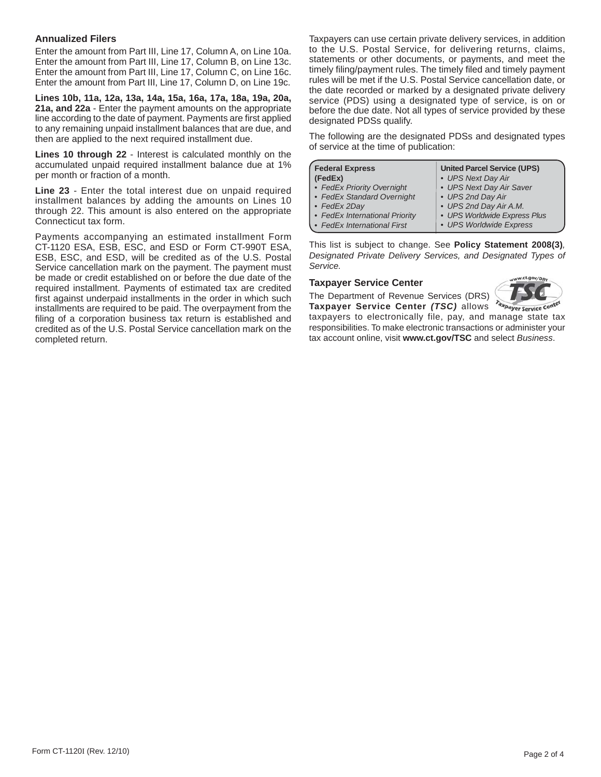### **Annualized Filers**

Enter the amount from Part III, Line 17, Column A, on Line 10a. Enter the amount from Part III, Line 17, Column B, on Line 13c. Enter the amount from Part III, Line 17, Column C, on Line 16c. Enter the amount from Part III, Line 17, Column D, on Line 19c.

**Lines 10b, 11a, 12a, 13a, 14a, 15a, 16a, 17a, 18a, 19a, 20a, 21a, and 22a** - Enter the payment amounts on the appropriate line according to the date of payment. Payments are first applied to any remaining unpaid installment balances that are due, and then are applied to the next required installment due.

**Lines 10 through 22** - Interest is calculated monthly on the accumulated unpaid required installment balance due at 1% per month or fraction of a month.

**Line 23** - Enter the total interest due on unpaid required installment balances by adding the amounts on Lines 10 through 22. This amount is also entered on the appropriate Connecticut tax form.

Payments accompanying an estimated installment Form CT-1120 ESA, ESB, ESC, and ESD or Form CT-990T ESA, ESB, ESC, and ESD, will be credited as of the U.S. Postal Service cancellation mark on the payment. The payment must be made or credit established on or before the due date of the required installment. Payments of estimated tax are credited first against underpaid installments in the order in which such installments are required to be paid. The overpayment from the filing of a corporation business tax return is established and credited as of the U.S. Postal Service cancellation mark on the completed return.

Taxpayers can use certain private delivery services, in addition to the U.S. Postal Service, for delivering returns, claims, statements or other documents, or payments, and meet the timely filing/payment rules. The timely filed and timely payment rules will be met if the U.S. Postal Service cancellation date, or the date recorded or marked by a designated private delivery service (PDS) using a designated type of service, is on or before the due date. Not all types of service provided by these designated PDSs qualify.

The following are the designated PDSs and designated types of service at the time of publication:

| <b>Federal Express</b>         | <b>United Parcel Service (UPS)</b> |
|--------------------------------|------------------------------------|
| (FedEx)                        | • UPS Next Day Air                 |
| • FedEx Priority Overnight     | • UPS Next Day Air Saver           |
| • FedEx Standard Overnight     | • UPS 2nd Day Air                  |
| $\cdot$ FedEx 2Day             | • UPS 2nd Day Air A.M.             |
| • FedEx International Priority | • UPS Worldwide Express Plus       |
| · FedEx International First    | • UPS Worldwide Express            |

This list is subject to change. See **Policy Statement 2008(3)***, Designated Private Delivery Services, and Designated Types of Service.*

#### **Taxpayer Service Center**

The Department of Revenue Services (DRS)



**Taxpayer Service Center** *(TSC)* allows Taxpayer Service Cente taxpayers to electronically file, pay, and manage state tax responsibilities. To make electronic transactions or administer your tax account online, visit **www.ct.gov/TSC** and select *Business*.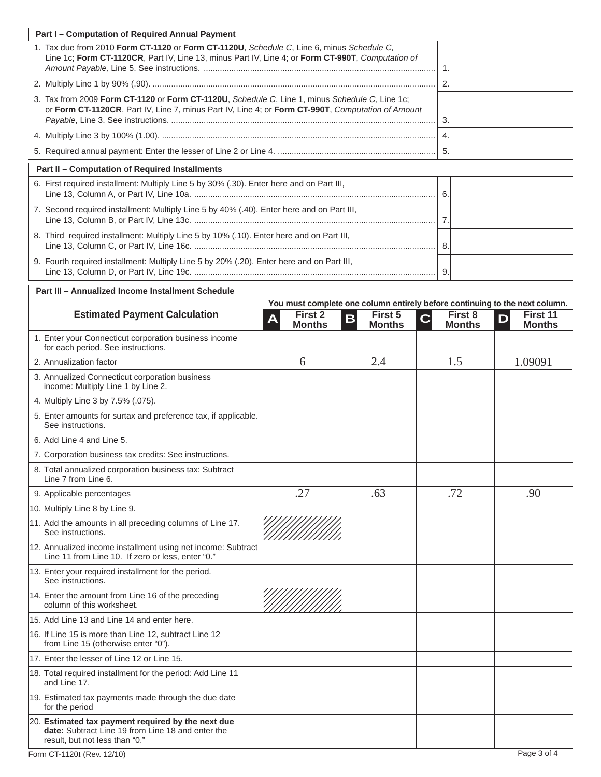| Part I - Computation of Required Annual Payment                                                                                                                                                     |                                                     |                                                                             |                                            |                                |
|-----------------------------------------------------------------------------------------------------------------------------------------------------------------------------------------------------|-----------------------------------------------------|-----------------------------------------------------------------------------|--------------------------------------------|--------------------------------|
| 1. Tax due from 2010 Form CT-1120 or Form CT-1120U, Schedule C, Line 6, minus Schedule C,<br>Line 1c; Form CT-1120CR, Part IV, Line 13, minus Part IV, Line 4; or Form CT-990T, Computation of      |                                                     |                                                                             | -1.                                        |                                |
|                                                                                                                                                                                                     | $\overline{2}$ .                                    |                                                                             |                                            |                                |
| 3. Tax from 2009 Form CT-1120 or Form CT-1120U, Schedule C, Line 1, minus Schedule C, Line 1c;<br>or Form CT-1120CR, Part IV, Line 7, minus Part IV, Line 4; or Form CT-990T, Computation of Amount |                                                     |                                                                             | 3.                                         |                                |
|                                                                                                                                                                                                     |                                                     |                                                                             | $\overline{4}$ .                           |                                |
|                                                                                                                                                                                                     |                                                     |                                                                             | 5.                                         |                                |
| Part II - Computation of Required Installments                                                                                                                                                      |                                                     |                                                                             |                                            |                                |
| 6. First required installment: Multiply Line 5 by 30% (.30). Enter here and on Part III,                                                                                                            |                                                     |                                                                             |                                            |                                |
| 7. Second required installment: Multiply Line 5 by 40% (.40). Enter here and on Part III,                                                                                                           |                                                     |                                                                             |                                            |                                |
| 8. Third required installment: Multiply Line 5 by 10% (.10). Enter here and on Part III,                                                                                                            |                                                     |                                                                             | -8.                                        |                                |
| 9. Fourth required installment: Multiply Line 5 by 20% (.20). Enter here and on Part III,                                                                                                           |                                                     |                                                                             | 9.                                         |                                |
| Part III - Annualized Income Installment Schedule                                                                                                                                                   |                                                     |                                                                             |                                            |                                |
|                                                                                                                                                                                                     |                                                     | You must complete one column entirely before continuing to the next column. |                                            |                                |
| <b>Estimated Payment Calculation</b>                                                                                                                                                                | First 2<br>$\overline{\mathsf{A}}$<br><b>Months</b> | First 5<br>B<br><b>Months</b>                                               | First 8<br>$\overline{C}$<br><b>Months</b> | First 11<br>D<br><b>Months</b> |
| 1. Enter your Connecticut corporation business income<br>for each period. See instructions.                                                                                                         |                                                     |                                                                             |                                            |                                |
| 2. Annualization factor                                                                                                                                                                             | 6                                                   | 2.4                                                                         | 1.5                                        | 1.09091                        |
| 3. Annualized Connecticut corporation business<br>income: Multiply Line 1 by Line 2.                                                                                                                |                                                     |                                                                             |                                            |                                |
| 4. Multiply Line 3 by 7.5% (.075).                                                                                                                                                                  |                                                     |                                                                             |                                            |                                |
| 5. Enter amounts for surtax and preference tax, if applicable.<br>See instructions.                                                                                                                 |                                                     |                                                                             |                                            |                                |
| 6. Add Line 4 and Line 5.                                                                                                                                                                           |                                                     |                                                                             |                                            |                                |
| 7. Corporation business tax credits: See instructions.                                                                                                                                              |                                                     |                                                                             |                                            |                                |
| 8. Total annualized corporation business tax: Subtract<br>Line 7 from Line 6.                                                                                                                       |                                                     |                                                                             |                                            |                                |
| 9. Applicable percentages                                                                                                                                                                           | .27                                                 | .63                                                                         | .72                                        | .90                            |
| 10. Multiply Line 8 by Line 9.                                                                                                                                                                      |                                                     |                                                                             |                                            |                                |
| 11. Add the amounts in all preceding columns of Line 17.<br>See instructions.                                                                                                                       |                                                     |                                                                             |                                            |                                |
| 12. Annualized income installment using net income: Subtract<br>Line 11 from Line 10. If zero or less, enter "0."                                                                                   |                                                     |                                                                             |                                            |                                |
| 13. Enter your required installment for the period.<br>See instructions.                                                                                                                            |                                                     |                                                                             |                                            |                                |
| 14. Enter the amount from Line 16 of the preceding<br>column of this worksheet.                                                                                                                     |                                                     |                                                                             |                                            |                                |
| 15. Add Line 13 and Line 14 and enter here.                                                                                                                                                         |                                                     |                                                                             |                                            |                                |
| 16. If Line 15 is more than Line 12, subtract Line 12<br>from Line 15 (otherwise enter "0").                                                                                                        |                                                     |                                                                             |                                            |                                |
| 17. Enter the lesser of Line 12 or Line 15.                                                                                                                                                         |                                                     |                                                                             |                                            |                                |
| 18. Total required installment for the period: Add Line 11<br>and Line 17.                                                                                                                          |                                                     |                                                                             |                                            |                                |
| 19. Estimated tax payments made through the due date<br>for the period                                                                                                                              |                                                     |                                                                             |                                            |                                |
| 20. Estimated tax payment required by the next due<br>date: Subtract Line 19 from Line 18 and enter the<br>result, but not less than "0."                                                           |                                                     |                                                                             |                                            |                                |